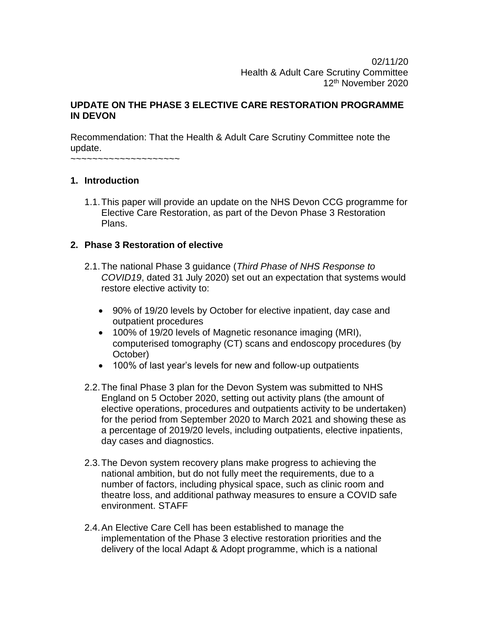02/11/20 Health & Adult Care Scrutiny Committee 12th November 2020

### **UPDATE ON THE PHASE 3 ELECTIVE CARE RESTORATION PROGRAMME IN DEVON**

Recommendation: That the Health & Adult Care Scrutiny Committee note the update.

~~~~~~~~~~~~~~~~~~~~

### **1. Introduction**

1.1.This paper will provide an update on the NHS Devon CCG programme for Elective Care Restoration, as part of the Devon Phase 3 Restoration Plans.

### **2. Phase 3 Restoration of elective**

- 2.1.The national Phase 3 guidance (*Third Phase of NHS Response to COVID19*, dated 31 July 2020) set out an expectation that systems would restore elective activity to:
	- 90% of 19/20 levels by October for elective inpatient, day case and outpatient procedures
	- 100% of 19/20 levels of Magnetic resonance imaging (MRI), computerised tomography (CT) scans and endoscopy procedures (by October)
	- 100% of last year's levels for new and follow-up outpatients
- 2.2.The final Phase 3 plan for the Devon System was submitted to NHS England on 5 October 2020, setting out activity plans (the amount of elective operations, procedures and outpatients activity to be undertaken) for the period from September 2020 to March 2021 and showing these as a percentage of 2019/20 levels, including outpatients, elective inpatients, day cases and diagnostics.
- 2.3.The Devon system recovery plans make progress to achieving the national ambition, but do not fully meet the requirements, due to a number of factors, including physical space, such as clinic room and theatre loss, and additional pathway measures to ensure a COVID safe environment. STAFF
- 2.4.An Elective Care Cell has been established to manage the implementation of the Phase 3 elective restoration priorities and the delivery of the local Adapt & Adopt programme, which is a national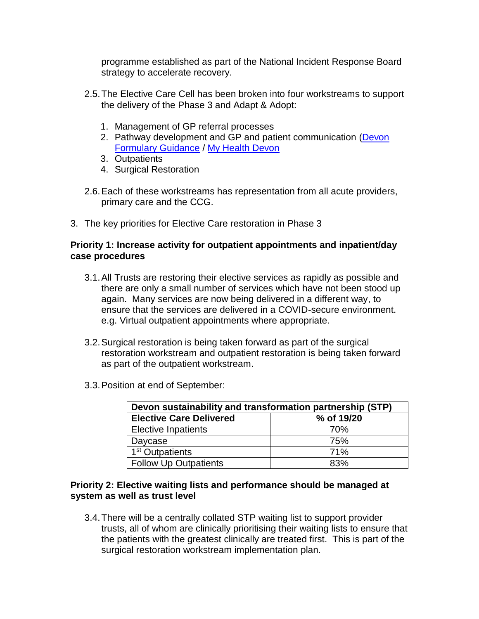programme established as part of the National Incident Response Board strategy to accelerate recovery.

- 2.5.The Elective Care Cell has been broken into four workstreams to support the delivery of the Phase 3 and Adapt & Adopt:
	- 1. Management of GP referral processes
	- 2. Pathway development and GP and patient communication [\(Devon](https://northeast.devonformularyguidance.nhs.uk/)  [Formulary Guidance](https://northeast.devonformularyguidance.nhs.uk/) / [My Health Devon](https://myhealth-devon.nhs.uk/)
	- 3. Outpatients
	- 4. Surgical Restoration
- 2.6.Each of these workstreams has representation from all acute providers, primary care and the CCG.
- 3. The key priorities for Elective Care restoration in Phase 3

### **Priority 1: Increase activity for outpatient appointments and inpatient/day case procedures**

- 3.1.All Trusts are restoring their elective services as rapidly as possible and there are only a small number of services which have not been stood up again. Many services are now being delivered in a different way, to ensure that the services are delivered in a COVID-secure environment. e.g. Virtual outpatient appointments where appropriate.
- 3.2.Surgical restoration is being taken forward as part of the surgical restoration workstream and outpatient restoration is being taken forward as part of the outpatient workstream.
- 3.3.Position at end of September:

| Devon sustainability and transformation partnership (STP) |            |  |  |  |  |  |
|-----------------------------------------------------------|------------|--|--|--|--|--|
| <b>Elective Care Delivered</b>                            | % of 19/20 |  |  |  |  |  |
| <b>Elective Inpatients</b>                                | 70%        |  |  |  |  |  |
| Daycase                                                   | 75%        |  |  |  |  |  |
| 1 <sup>st</sup> Outpatients                               | 71%        |  |  |  |  |  |
| <b>Follow Up Outpatients</b>                              | 83%        |  |  |  |  |  |

### **Priority 2: Elective waiting lists and performance should be managed at system as well as trust level**

3.4.There will be a centrally collated STP waiting list to support provider trusts, all of whom are clinically prioritising their waiting lists to ensure that the patients with the greatest clinically are treated first. This is part of the surgical restoration workstream implementation plan.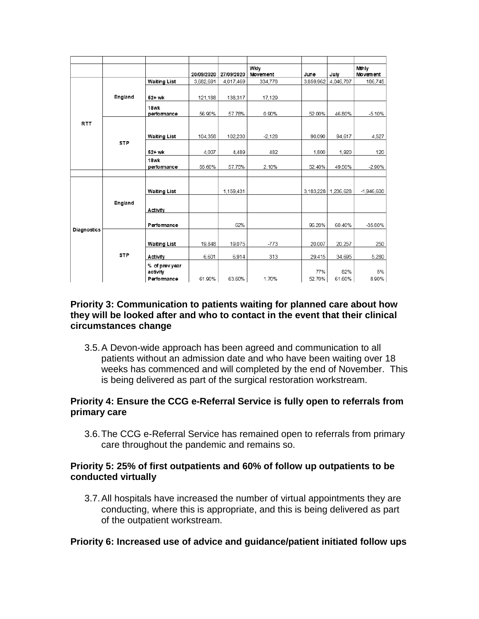|                    |            |                                          | 20/09/2020 | 27/09/2020 | Wkly<br>Movement | June          | July                | Mthly<br>Movement |
|--------------------|------------|------------------------------------------|------------|------------|------------------|---------------|---------------------|-------------------|
|                    |            | <b>Waiting List</b>                      | 3,682,691  | 4,017,469  | 334,778          | 3,859,962     | 4,046,707           | 186,745           |
|                    | England    | 52+ wk                                   | 121,188    | 138,317    | 17.129           |               |                     |                   |
|                    |            | 18wk<br>performance                      | 56.90%     | 57.78%     | 0.90%            | 52.00%        | 46.80%              | $-5.10%$          |
| <b>RTT</b>         |            | <b>Waiting List</b>                      | 104,358    | 102,230    | $-2,128$         | 90,090        | 94,617              | 4,527             |
|                    | <b>STP</b> | 52+ wk                                   | 4.007      | 4.489      | 482              | 1.800         | 1.920               | 120               |
|                    |            | 18wk<br>performance                      | 55.60%     | 57.75%     | 2.10%            | 52.40%        | 49.50%              | $-2.90%$          |
|                    |            | <b>Waiting List</b>                      |            | 1,159,431  |                  |               | 3,183,228 1,236,628 | $-1,946,600$      |
|                    | England    | Activity                                 |            |            |                  |               |                     |                   |
| <b>Diagnostics</b> |            | Performance                              |            | 62%        |                  | 96.20%        | 60.40%              | $-35.80%$         |
|                    |            | <b>Waiting List</b>                      | 19.848     | 19,075     | $-773$           | 20.007        | 20,257              | 250               |
|                    | <b>STP</b> | Activity                                 | 6,601      | 6,914      | 313              | 29,415        | 34,695              | 5,280             |
|                    |            | % of prevyear<br>activity<br>Performance | 61.90%     | 63.60%     | 1.70%            | 77%<br>52.70% | 82%<br>61.60%       | 5%<br>8.90%       |

### **Priority 3: Communication to patients waiting for planned care about how they will be looked after and who to contact in the event that their clinical circumstances change**

3.5.A Devon-wide approach has been agreed and communication to all patients without an admission date and who have been waiting over 18 weeks has commenced and will completed by the end of November. This is being delivered as part of the surgical restoration workstream.

### **Priority 4: Ensure the CCG e-Referral Service is fully open to referrals from primary care**

3.6.The CCG e-Referral Service has remained open to referrals from primary care throughout the pandemic and remains so.

### **Priority 5: 25% of first outpatients and 60% of follow up outpatients to be conducted virtually**

3.7.All hospitals have increased the number of virtual appointments they are conducting, where this is appropriate, and this is being delivered as part of the outpatient workstream.

### **Priority 6: Increased use of advice and guidance/patient initiated follow ups**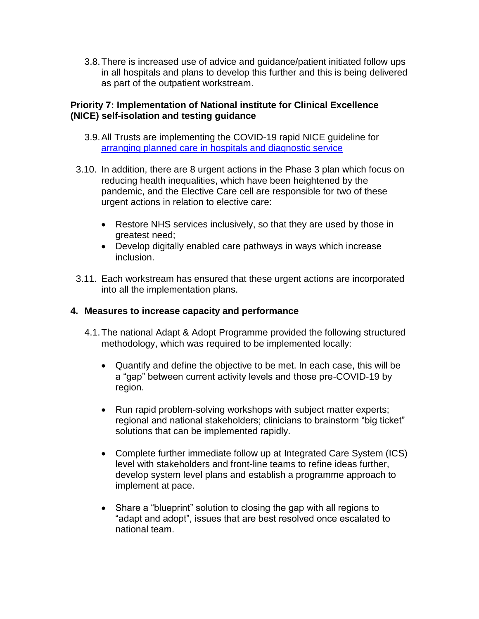3.8.There is increased use of advice and guidance/patient initiated follow ups in all hospitals and plans to develop this further and this is being delivered as part of the outpatient workstream.

### **Priority 7: Implementation of National institute for Clinical Excellence (NICE) self-isolation and testing guidance**

- 3.9.All Trusts are implementing the COVID-19 rapid NICE guideline for [arranging planned care in hospitals and diagnostic service](https://www.nice.org.uk/guidance/ng179/resources/visual-summary-pdf-8782806637)
- 3.10. In addition, there are 8 urgent actions in the Phase 3 plan which focus on reducing health inequalities, which have been heightened by the pandemic, and the Elective Care cell are responsible for two of these urgent actions in relation to elective care:
	- Restore NHS services inclusively, so that they are used by those in greatest need;
	- Develop digitally enabled care pathways in ways which increase inclusion.
- 3.11. Each workstream has ensured that these urgent actions are incorporated into all the implementation plans.

## **4. Measures to increase capacity and performance**

- 4.1.The national Adapt & Adopt Programme provided the following structured methodology, which was required to be implemented locally:
	- Quantify and define the objective to be met. In each case, this will be a "gap" between current activity levels and those pre-COVID-19 by region.
	- Run rapid problem-solving workshops with subject matter experts; regional and national stakeholders; clinicians to brainstorm "big ticket" solutions that can be implemented rapidly.
	- Complete further immediate follow up at Integrated Care System (ICS) level with stakeholders and front-line teams to refine ideas further, develop system level plans and establish a programme approach to implement at pace.
	- Share a "blueprint" solution to closing the gap with all regions to "adapt and adopt", issues that are best resolved once escalated to national team.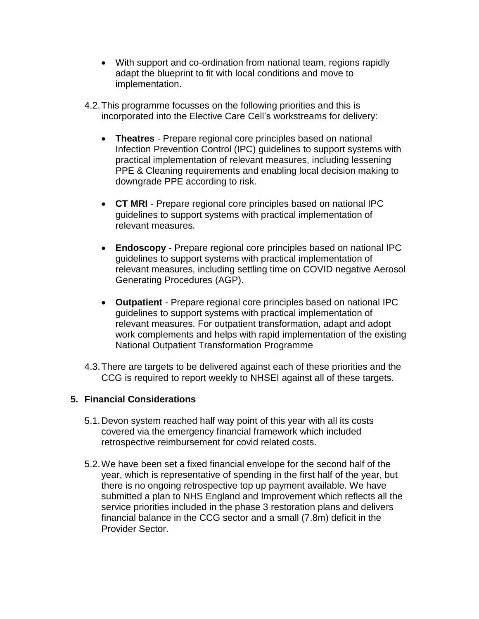- With support and co-ordination from national team, regions rapidly adapt the blueprint to fit with local conditions and move to implementation.
- 4.2.This programme focusses on the following priorities and this is incorporated into the Elective Care Cell's workstreams for delivery:
	- **Theatres** Prepare regional core principles based on national Infection Prevention Control (IPC) guidelines to support systems with practical implementation of relevant measures, including lessening PPE & Cleaning requirements and enabling local decision making to downgrade PPE according to risk.
	- **CT MRI**  Prepare regional core principles based on national IPC guidelines to support systems with practical implementation of relevant measures.
	- **Endoscopy** Prepare regional core principles based on national IPC guidelines to support systems with practical implementation of relevant measures, including settling time on COVID negative Aerosol Generating Procedures (AGP).
	- **Outpatient** Prepare regional core principles based on national IPC guidelines to support systems with practical implementation of relevant measures. For outpatient transformation, adapt and adopt work complements and helps with rapid implementation of the existing National Outpatient Transformation Programme
- 4.3.There are targets to be delivered against each of these priorities and the CCG is required to report weekly to NHSEI against all of these targets.

# **5. Financial Considerations**

- 5.1.Devon system reached half way point of this year with all its costs covered via the emergency financial framework which included retrospective reimbursement for covid related costs.
- 5.2.We have been set a fixed financial envelope for the second half of the year, which is representative of spending in the first half of the year, but there is no ongoing retrospective top up payment available. We have submitted a plan to NHS England and Improvement which reflects all the service priorities included in the phase 3 restoration plans and delivers financial balance in the CCG sector and a small (7.8m) deficit in the Provider Sector.